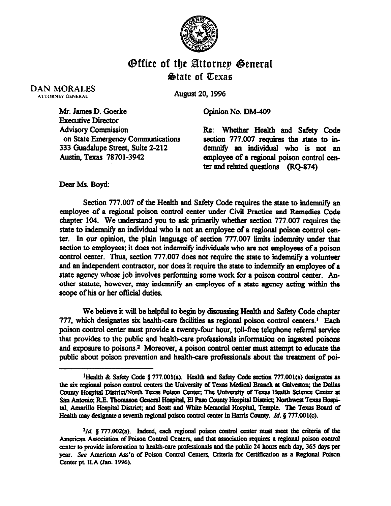

## Office of the Bttornep @enera State of Texas

DAN MORALES ATTORNEY GENERAL

August 20,1996

Opinion No. DM-409

Mr. James D. Goerke Executive Director **Advisory Commission** on State Emergency Communications 333 Guadalupe Street, Suite 2-212 Austin, Texas 78701-3942

Re: Whether Health and Safety Code section 777.007 requires the state to indemnify an individual who is not an employee of a regionsl poison control center and related questions (RQ-874)

Dear Ms. Boyd:

Section 777.007 of the Health and Safety Code requires the state to indemnify an employee of a regional poison control center under Civil Bractice and Remedies Code chapter 104. We understand you to ask primarily whether section 777.007 requires the state to indemnity an individual who is not an employee of a regional poison control center. In our opinion, the plain language of section 777.007 limits indemnity under that section to employees; it does not indemnify individuals who are not employees of a poison control center. Thus, section 777.007 does not require the state to indemnify a volunteer and an independent contractor, nor does it require the state to indemnity an employee of a state agency whose job involves performing some work for a poison control center. Another statute, however, may indemnify an employee of a state agency acting within the scope of his or her official duties.

We believe it will be helpful to begin by discussing Health and Safety Code chapter 777, which designates six health-care facilities as regional poison control centers.<sup>1</sup> Each poison control center must provide a twenty-four hour, toll-free telephone referral service that provides to the public and health-care professionals information on ingested poisons and exposure to poisons.<sup>2</sup> Moreover, a poison control center must attempt to educate the public about poison prevention and health-care professionals about the treatment of poi-

<sup>&</sup>lt;sup>1</sup>Health & Safety Code § 777.001(a). Health and Safety Code section 777.001(a) designates as the six regional poison control centers the University of Texas Medical Branch at Galveston; the Dallas County Hospital District/North Texas Poison Center; The University of Texas Health Science Center at San Antonio; R.E. Thomason General Hospital, El Paso County Hospital District; Northwest Texas Hospital, Amarillo Hospital District; and Scott and White Memorial Hospital, Temple. The Texas Board of Health may designate a seventh regional poison control center in Harris County. *Id.* § 777.001(c).

<sup>&</sup>lt;sup>2</sup>Id. § 777.002(a). Indeed, each regional poison control center must meet the criteria of the American Association of Poison Control Centers, and that association requires a regional poison control center to provide information to health-care professionals and the public 24 hours each day, 365 days per year. See American Ass'n of Poison Control Centers, Criteria for Certification as a Regional Poison Center pt. II.A (Jan. 1996).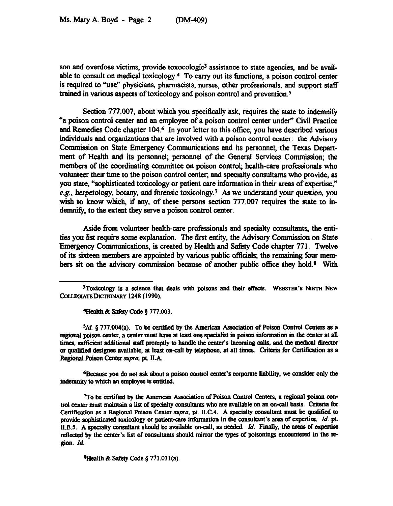son and overdose victims, provide toxocologic<sup>3</sup> assistance to state agencies, and be available to consult on medical toxicology.4 To carry out its functions, a poison control center is required to "use" physicians, pharmacists, nurses, other professionals, and support staff trained in various aspects of toxicology and poison control and prevention.<sup>5</sup>

Section 777.007, about which you specifically ask, requires the state to indemnity "a poison control center and an employee of a poison control center under" Civil Practice and Remedies Code chapter 104.<sup>6</sup> In your letter to this office, you have described various individuals and organixations that are involved with a poison control center: the Advisory Commission on State Emergency Communications and its personnel; the Texas Department of Health and its personnel; personnel of the General Services Commission; the members of the coordinating committee on poison control; health-care professionals who vohmteer their time to the poison control center; and specialty **consultants** who provide, as you state, "sophisticated toxicology or patient care information in their areas of expertise," e.g., herpetology, botany, and **forensic** toxicology.7 As we understand your question, you wish to know which, if any, of these persons section 777.007 requires the state to indemnity, to the extent they serve a poison control center.

Aside from volunteer health-care professionals and specialty consultants, the entities you list require some explanation. The first entity, the Advisory Commission on State Emergency Communications, is created by Health and Safety Code chapter 771. Twelve of its sixteen members are appointed by various public officials; the remaining four members sit on the advisory commission because of another public office they hold.<sup>8</sup> With

*51d. p 777.004(a). To be certified by the American Association of* **Poison Control Centers as a**  regional poison center, a center must have at least one specialist in poison information in the center at all times, sufficient additional staff promptly to handle the center's incoming calls, and the medical director or qualified designee available, at least on-call by telephone, at all times. Criteria for Certification as a Regional Poison Center supra, pt. II.A.

<sup>6</sup>Because you do not ask about a poison control center's corporate liability, we consider only the **indemnity to which an employee is entitled.** 

<sup>7</sup>To be certified by the American Association of Poison Control Centers, a regional poison control center must maintain a list of specialty consultants who are available on an on-call basis. Criteria for Certification as a Regional Poison Center supra, pt. II.C.4. A specialty consultant must be qualified to provide sophisticated toxicology or patient-care information in the consultant's area of expertise. *Id.* pt. **ll.E.5. A specialty mnsoltaot should be available on-call, as needed.** *Id.* **Finally, the amas of expertise**  reflected by the center's list of consultants should mirror the types of poisonings encountered in the re*pion. Id.* 

**<sup>8</sup>Health & Safety Code § 771.031(a).** 

<sup>&</sup>lt;sup>3</sup>Toxicology is a science that deals with poisons and their effects. WEBSTER's NINTH NEW COLLEGIATE DICTIONARY 1248 (1990).

**<sup>&#</sup>x27;Health** *& safely code 5 777.003.*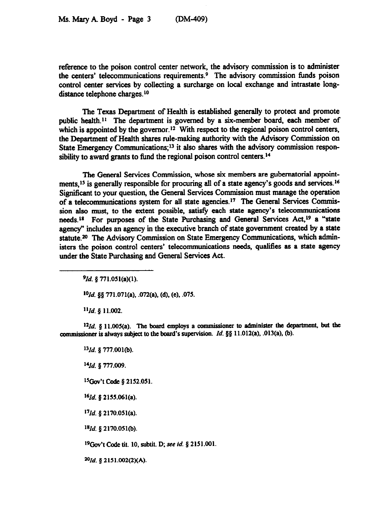reference to the poison control center network, the advisory commission is to administer the centers' telecommunications requirements. 9 The advisory commission funds poison control center services by collecting a surcharge on local exchange and intrastate longdistance telephone charges.<sup>10</sup>

The Texas Department of Health is established generally to protect and promote public health.<sup>11</sup> The department is governed by a six-member board, each member of which is appointed by the governor.<sup>12</sup> With respect to the regional poison control centers, the Department of Health shares rule-making authority with the Advisory Commission on State Emergency Communications;<sup>13</sup> it also shares with the advisory commission responsibility to award grants to fund the regional poison control centers.<sup>14</sup>

The General Services Commission, whose six members are gubernatorial appointments,<sup>15</sup> is generally responsible for procuring all of a state agency's goods and services.<sup>16</sup> Significant to your question, the General Services Commission must manage the operation of a telecommunications system for all state agencies.<sup>17</sup> The General Services Commission also must, to the extent possible, satisfy each state agency's telecommunications needs.<sup>18</sup> For purposes of the State Purchasing and General Services Act.<sup>19</sup> a "state agency" includes an agency in the executive branch of state government created by a state statute.<sup>20</sup> The Advisory Commission on State Emergency Communications, which administers the poison control centers' telecommunications needs, qualifies as a state agency under the State Purchasing and General Services Act.

*gId.* **p 771.051(a)(l).** 

*'Old.* **08 771.071(a), .072(a), (d), (e), ,075.** 

*"Id. 8* **11.002.** 

 $12Id$ . § 11.005(a). The board employs a commissioner to administer the department, but the *cOrnmiSSiOner is always subject to the bed's mpervision Id. \$8* **11.012(a), .013(a), @I.** 

*')Id. 0* **777.001(b).**  *"1d. 5 777.009.*  '%ov't *Chic* **\$2152.051.**  *9d.* **8 2155.061(a).**  <sup>17</sup>*Id.* § 2170.051(a). *'\*Id. 8* **2170.051(b).**  <sup>19</sup>Gov't Code tit. 10, subtit. D; see *id.* § 2151.001. *3"Id.* **8 2151.002(2)(A)~**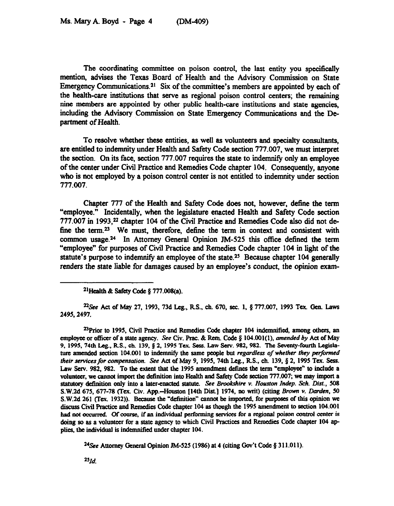The coordinating committee on poison control, the last entity you specifically mention, advises the Texas Board of Health and the Advisory Commission on State Emergency Communications.<sup>21</sup> Six of the committee's members are appointed by each of the health-care institutions that serve as regional poison control centers; the remaining nine members are appointed by other public health-care institutions and state agencies, including the Advisory Commission on State Emergency Communications and the Department of Health.

To resolve whether these entities, as well aa volunteers and specialty wnsultants, are entitled to indemnity under Health and Safety Code section 777.007, we must interpret the section. On its face, section 777.007 requires the state to indemnify only an employee of the center under Civil Practice and Remedies Code chapter 104. Consequently, anyone who is not employed by a poison control center is not entitled to indemnity under section 777.007.

Chapter 777 of the Health and Safety Code does not, however, define the term "employee." Incidentally, when the legislature enacted Health and Safety Code section 777.007 in 1993,<sup>22</sup> chapter 104 of the Civil Practice and Remedies Code also did not define the term.<sup>23</sup> We must, therefore, define the term in context and consistent with common usage.<sup>24</sup> In Attorney General Opinion JM-525 this office defined the term "employee" for purposes of Civil Practice and Remedies Code chapter 104 in light of the statute's purpose to indemnify an employee of the state.<sup>25</sup> Because chapter 104 generally renders the state liable for damages caused by an employee's conduct, the opinion exam-

**%ee Act of May 27, 1993, 73d Leg., RS., ch 670, sec. 1, § 777.007, 1993 Tex. Gen Laws 2495.2497.** 

**"Prior to 1995, Civil Practice and Remedies Code chapter 104 indemnified, among others, an employee or officer of a state agency.** See Civ. Prac. & Rem. Code § 104.001(1), *amended by* Act of May **9, 1995,74th Leg., RS., ch. 139.8 2, 1995 Tex. Sees. Law Serv. 982,982. The Seventy-fomtb Legisla**ture amended section 104.001 to indemnify the same people but *regardless of whether they performed their services for compensation. See Act of May 9, 1995, 74th Leg., R.S., ch. 139, § 2, 1995 Tex. Sess.* Law Serv. 982, 982. To the extent that the 1995 amendment defines the term "employee" to include a volunteer, we cannot import the definition into Health and Safety Code section 777.007; we may import a statutory definition only into a later-enacted statute. See Brookshire v. Houston Indep. Sch. Dist., 508 S.W.2d 675, 677-78 (Tex. Civ. App.--Houston [14th Dist.] 1974, no writ) (citing Brown v. Darden, 50 S.W.2d 261 (Tex. 1932)). Because the "definition" cannot be imported, for purposes of this opinion we diseom **Civil** Fvacticc and Remedies Code chapter **104 as though the 1995 amendment to section 104.001**  had not occurred. Of course, if an individual performing services for a regional poison control center is doing so as a volunteer for a state agency to which Civil Practices and Remedies Code chapter 104 applies, the individual is indemnified under chapter 104.

<sup>24</sup>See Attorney General Opinion JM-525 (1986) at 4 (citing Gov't Code § 311.011).

 $25%$ 

**<sup>21</sup>Hcalth & Safety Ccdc p 777.008(a).**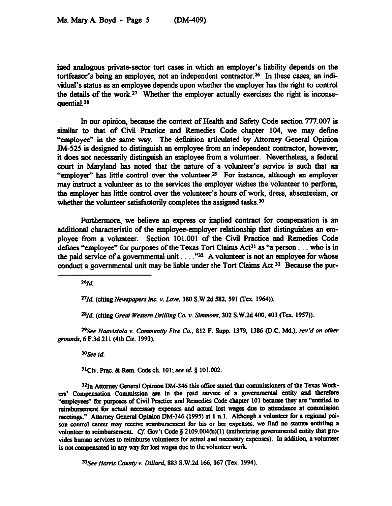ined analogous private-sector tort cases in which an employer's liability depends on the tortfeasor's being an employee, not an independent contractor.<sup>26</sup> In these cases, an individual's status as an employee depends upon whether the employer has the right to control the details of the work.<sup>27</sup> Whether the employer actually exercises the right is inconsequential.<sup>28</sup>

In our opinion, because the context of Health and Safety Code section 777.007 is similar to that of Civil Practice and Remedies Code chapter 104, we may define "employee" in the same way. The definition articulated by Attorney General Opinion Jh4-525 is designed to distinguish an employee from an independent contractor, however; it does not necessarily distinguish an employee from a volunteer. Nevertheless, a federal court in Maryland has noted that the nature of a volunteer's service is such that an "employer" has little control over the volunteer.<sup>29</sup> For instance, although an employer may instruct a volunteer as to the services the employer wishes the volunteer to perform, the employer has little control over the volunteer's hours of work, dress, absenteeism, or whether the volunteer satisfactorily completes the assigned tasks.<sup>30</sup>

Furthermore, we believe an express or implied contract for compensation is an additional characteristic of the employee-employer relationship that distinguishes an employee from a volunteer. Section 101.001 of the Civil Practice and Remedies Code defines "employee" for purposes of the Texas Tort Claims Act<sup>31</sup> as "a person . . . who is in the paid service of a governmental unit  $\ldots$ ."<sup>32</sup> A volunteer is not an employee for whose conduct a **governmental** unit may be liable under the Tort Claims Act.33 Because the pur-

*"Id.* 

<sup>27</sup>*Id.* (citing Newspapers Inc. v. Love, 380 S.W.2d 582, 591 (Tex. 1964)).

<sup>28</sup>*Id.* (citing Great Western Drilling Co. v. Simmons, 302 S.W.2d 400, 403 (Tex. 1957)).

*%ee* **Haavistola** *v. Cmnmunity Fin Co.,* **812 F. Supp. 1379, 1386 (D.C. Md.),** *mv'd on other*  **gram& 6 F.3d 211 (4th Cu. 1993).** 

**%ee** *id.* 

31Cii. **Fmc. &Rcm. Cde ch. 101; see** *id. 8* **101.002.** 

32In Attorney General Opinion DM-346 this office stated that commissioners of the Texas Workers' Compensation Commission are in the paid service of a governmental entity and therefore "employees" for purposes of Civil Practice and Remedies Code chapter 101 because they are "entitled to reimbursement for actual necessary expenses and actual lost wages due to attendance at commission meetings." Attorney General Opinion DM-346 (1995) at 1 n.1. Although a volunteer for a regional poison control center may receive reimbursement for his or her expenses, we find no statute entitling a volunteer to reimbursement. Cf. Gov't Code § 2109.004(b)(1) (authorizing governmental entity that pro**vidcs human services to reimburse volunteers for actual and necesaty expenses). In addition,** a volunteer is not compensated in any way for lost wages due to the volunteer work.

33 See *Harris County v. Dillard, 883 S.W.2d 166, 167 (Tex. 1994).*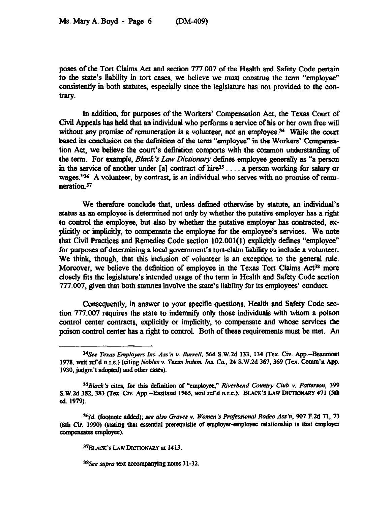poses of the Tort Claims Act and section 777.007 of the Health and Safety Code pertain to the state's liability in tort cases, we believe we must construe the term "employee" consistently in both statutes, especially since the legislature has not provided to the contrary.

In addition, for purposes of the Workers' Compensation Act, the Texas Court of Civil Appeals has held that an individual who performs a service of his or her own free will without any promise of remuneration is a volunteer, not an employee.<sup>34</sup> While the court based its conclusion on the detlnition of the term "employee" in the Workers' Compensation Act, we believe the court's definition comports with the common understanding of the term. For example, Black's Law Dictionary defines employee generally as "a person in the service of another under  $[a]$  contract of hire<sup>35</sup> ..., a person working for salary or wages."<sup>36</sup> A volunteer, by contrast, is an individual who serves with no promise of remuneration.<sup>37</sup>

We therefore conclude that, unless defined otherwise by statute, an individual's status as an employee is determined not only by whether the putative employer has a right to control the employee, but also by whether the putative employer has contracted, explicitly or implicitly, to compensate the employee for the employee's services. We note that Civil Practices and Remedies Code section 102.001( 1) explicitly detines "employee" for purposes of determining a local government's tort-claim liability to include a volunteer. We think, though, that this inclusion of volunteer is an exception to the general rule. Moreover, we believe the definition of employee in the Texas Tort Claims Act<sup>38</sup> more closely fits the legislature's intended usage of the term in Health and Safety Code section 777.007, given that both statutes involve the state's liability for its employees' conduct.

Consequently, in answer to your specific questions, Health and Safety Code section 777.007 requires the state to indemnify only those individuals with whom a poison control center contracts, explicitly or implicitly, **to compensate** and whose services the poison control center has a right to control. Both of these requirements must be met. An

*<sup>34</sup>See Texas Employers Ins. Au'n v. BurrelI, 564* **S.W.2d 133, 134 (Tcx. Civ. App.-Beamnont**  1978, writ ref'd n.r.e.) (citing *Nobles v. Texas Indem. Ins. Co.*, 24 S.W.2d 367, 369 (Tex. Comm'n App. **1930, judgm't adopted) and other cases).** 

*<sup>35</sup>Black's cites,* **for** *tbis dehitiou of* **"employa,"** *Rtverbend Country Club v. Patterson, 399*  S.W.2d 382, 383 (Tex. Civ. App.--Eastland 1965, writ ref'd n.r.e.). BLACK'S LAW DICTIONARY 471 (5th **cd. 1979).** 

<sup>&</sup>lt;sup>36</sup>Id. (footnote added); see also Graves v. Women's Professional Rodeo Ass'n, 907 F.2d 71, 73 **(8th Cu. 1990) (stating that essential prerequisite of employer+mployee relationship is that employer**  compensates employee).

**<sup>&</sup>quot;BLACK'S LAW DICTIONARY at 14 13.** 

**<sup>3\*&</sup>amp;e supra text accompanying notes 31-32.**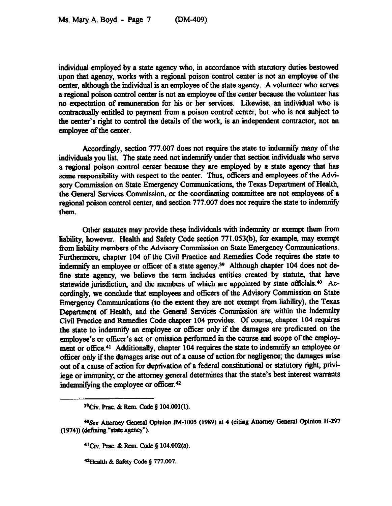individual employed by a state agency who, in accordance with statutory duties bestowed upon that agency, works with a regional poison control center is not an employee of the center, although the individual is an employee of the state agency. A volunteer who serves a regional poison control center is not an employee of the center because the volunteer has no expectation of remuneration for his or her services. Likewise, an individual who is contractually entitled to payment from a poison control center, but who is not subject to the center's right to control the details of the work, is an independent contractor, not an employee of the center.

Accordingly, section 777.007 does not require the state to indemnify many of the individuals you list. The state need not indemnity under that section individuals who serve a regional poison control center because they are employed by a state agency that has some responsibility with respect to the center. Thus, officers and employees of the Advisory Commission on State Emergency Communications, the Texas Department of Health, the General Services Commission, or the coordinating committee are not employees of a regional poison control center, and section 777.007 does not require the state to indemnify them.

Other statutes may provide these individuals with indemnity or exempt them from liability, however. Health and Safety Code section 771.053(b), for example, may exempt from liability members of the Advisory Commission on State Emergency Communications. Furthermore, chapter 104 of the Civil Practice and Remedies Code requires the state to indemnify an employee or officer of a state agency.<sup>39</sup> Although chapter 104 does not defme state agency, we believe the term includes entities created by statute, that have statewide jurisdiction, and the members of which are appointed by state officials.<sup>40</sup> Accordingly, we conclude that employees and officers of the Advisory Commission on State Emergency Communications (to the extent they are not exempt from liabiity), the Texas Department of Health, and the General Services Commission are within the indemnity Civil Practice and Remedies Code chapter 104 provides. Of course, chapter 104 requires the state to indemnify an employee or officer only if the damages are predicated on the employee's or officer's act **or omission performed in the course** and scope of the employment or office.<sup>41</sup> Additionally, chapter 104 requires the state to indemnify an employee or officer only if the damages arise out of a cause of action for negligence; the damages arise out of a cause of action for deprivation of a federal constitutional or statutory right, privilege or immunity; or the attorney general determines that the state's best interest warrants indemnifying the employee or officer. $42$ 

<sup>41</sup>Civ. Prac. & Rem. Code § 104.002(a).

**42Health & Safety Code § 777.007.** 

<sup>&</sup>lt;sup>39</sup>Civ. Prac. & Rem. Code § 104.001(1).

<sup>&</sup>lt;sup>40</sup>See Attorney General Opinion JM-1005 (1989) at 4 (citing Attorney General Opinion H-297 **(1974)) (defining "state** agency").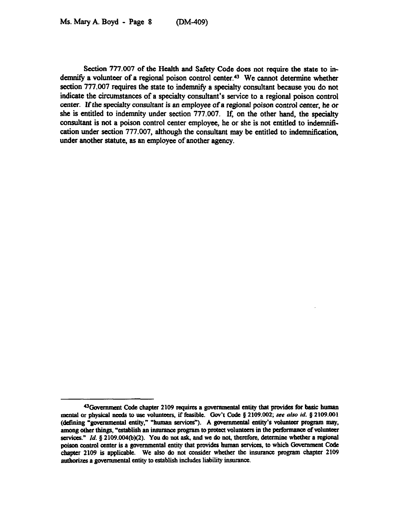Section 777.007 of the Health and Safety Code does not require the state to indemnify a volunteer of a regional poison control center.<sup>43</sup> We cannot determine whether section 777.007 requires the state to indemnify a specialty consultant because you do not indicate the circumstances of a specialty consultant's service to a regional poison control center. If the specialty consultant is an employee of a regional poison control center, he or she is entitled to indemnity under section 777.007. If, on the other hand, the specialty consultant is not a poison control center employee, he or she is not entitled to indemnification under section 777.007, although the consultant may be entitled to indemniftcation, under another statute, as an employee of another agency.

**<sup>&</sup>quot;Govcmmat Code chapter 2109 tquires a gwcnuncntal entity that provides for basic human mental or physical needs to use volunteers, if feasible. Gov't Code § 2109.002; see also** *id.* **§ 2109.001** (defining "governmental entity," "human services"). A governmental entity's volunteer program may, among other things, "establish an insurance program to protect volunteers in the performance of volunteer services." *Id.* § 2109.004(b)(2). You do not ask, and we do not, therefore, determine whether a regional poison control center is a governmental entity that provides human services, to which Government Code chapter 2109 is applicable. We also do not consider whether the insurance program chapter 2109 authorizes a governmental entity to establish includes liability insurance.